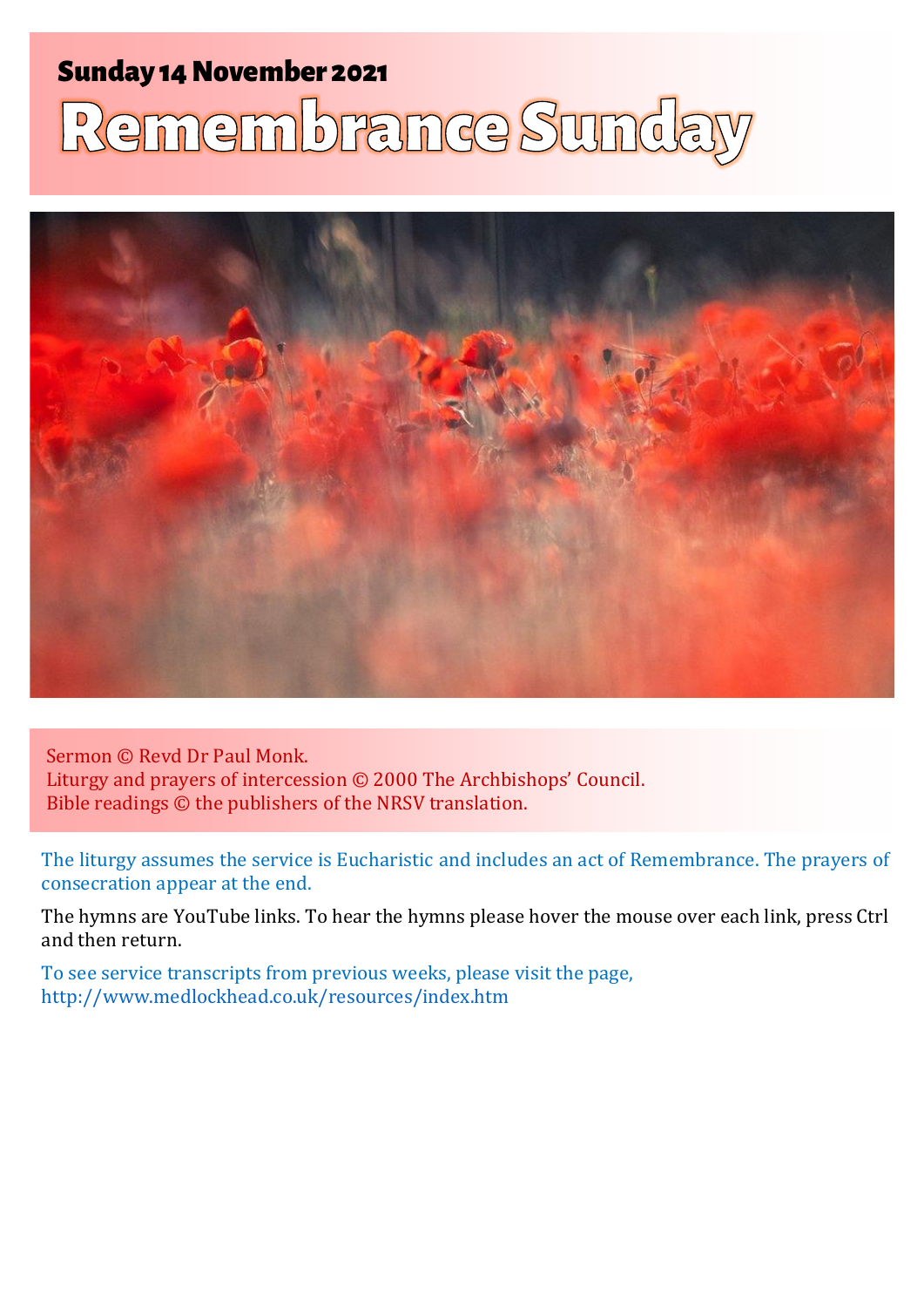# **Sunday 14 November 2021** membrance Sunda



Sermon © Revd Dr Paul Monk. Liturgy and prayers of intercession © 2000 The Archbishops' Council. Bible readings © the publishers of the NRSV translation.

The liturgy assumes the service is Eucharistic and includes an act of Remembrance. The prayers of consecration appear at the end.

The hymns are YouTube links. To hear the hymns please hover the mouse over each link, press Ctrl and then return.

To see service transcripts from previous weeks, please visit the page, <http://www.medlockhead.co.uk/resources/index.htm>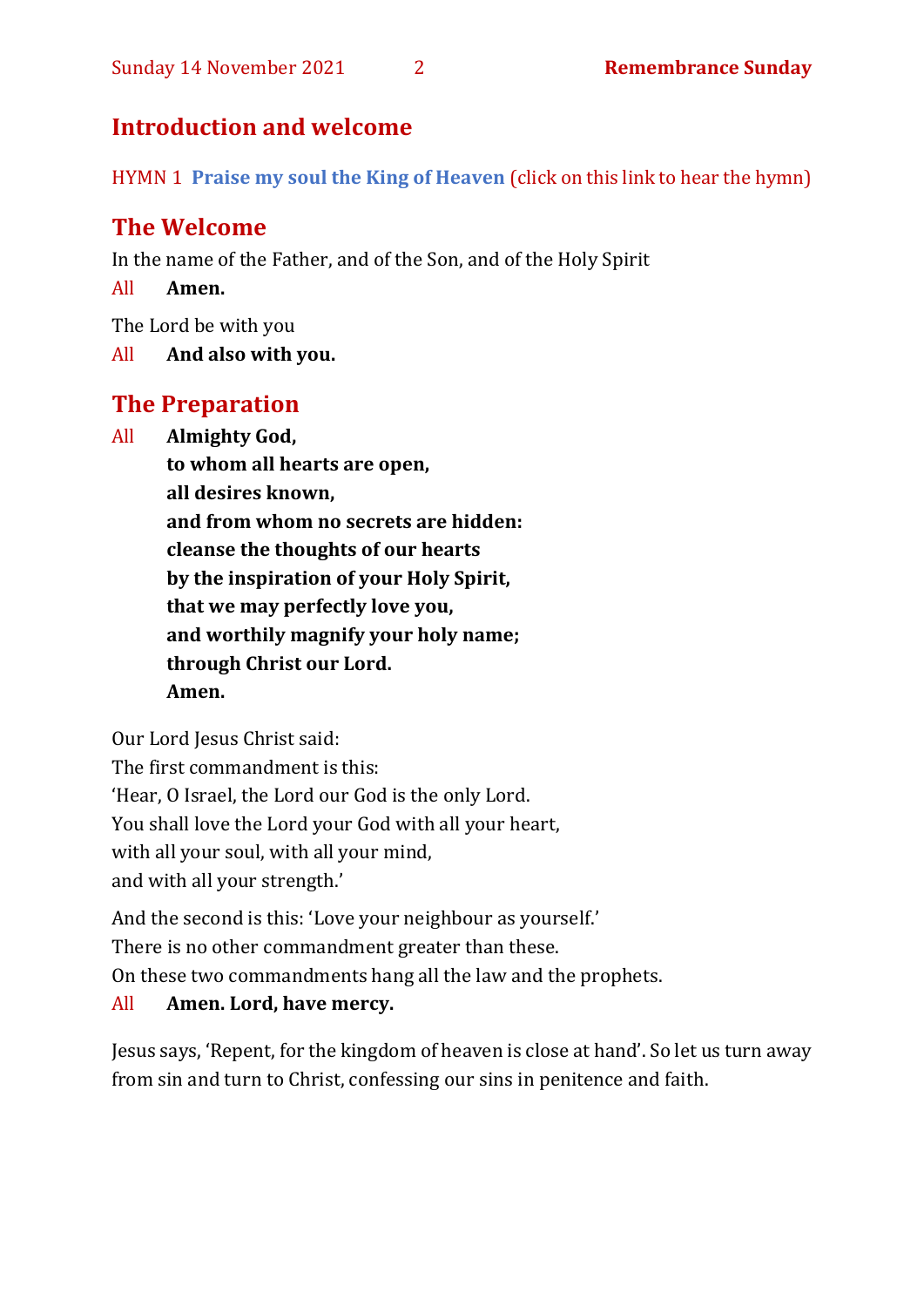# **Introduction and welcome**

HYMN 1 **[Praise my soul the King of Heaven](https://www.youtube.com/watch?v=sx1eMwlDFb8)** (click on this link to hear the hymn)

# **The Welcome**

In the name of the Father, and of the Son, and of the Holy Spirit

All **Amen.**

The Lord be with you

All **And also with you.**

# **The Preparation**

All **Almighty God,**

**to whom all hearts are open, all desires known, and from whom no secrets are hidden: cleanse the thoughts of our hearts by the inspiration of your Holy Spirit, that we may perfectly love you, and worthily magnify your holy name; through Christ our Lord. Amen.**

Our Lord Jesus Christ said:

The first commandment is this:

'Hear, O Israel, the Lord our God is the only Lord.

You shall love the Lord your God with all your heart,

with all your soul, with all your mind,

and with all your strength.'

And the second is this: 'Love your neighbour as yourself.'

There is no other commandment greater than these.

On these two commandments hang all the law and the prophets.

# All **Amen. Lord, have mercy.**

Jesus says, 'Repent, for the kingdom of heaven is close at hand'. So let us turn away from sin and turn to Christ, confessing our sins in penitence and faith.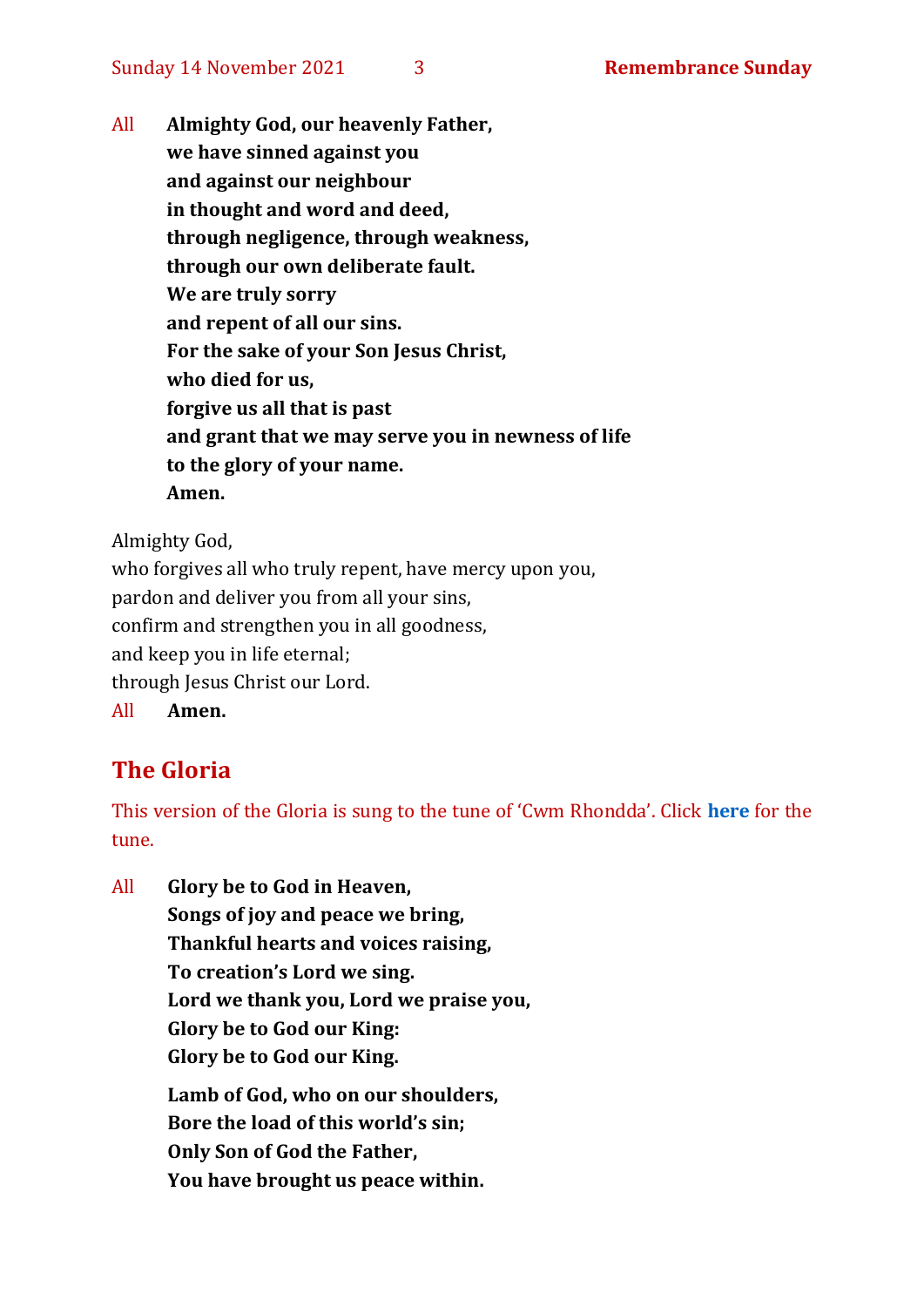All **Almighty God, our heavenly Father, we have sinned against you and against our neighbour in thought and word and deed, through negligence, through weakness, through our own deliberate fault. We are truly sorry and repent of all our sins. For the sake of your Son Jesus Christ, who died for us, forgive us all that is past and grant that we may serve you in newness of life to the glory of your name. Amen.**

Almighty God,

who forgives all who truly repent, have mercy upon you, pardon and deliver you from all your sins, confirm and strengthen you in all goodness, and keep you in life eternal; through Jesus Christ our Lord. All **Amen.**

# **The Gloria**

This version of the Gloria is sung to the tune of 'Cwm Rhondda'. Click **[here](about:blank)** for the tune.

All **Glory be to God in Heaven, Songs of joy and peace we bring, Thankful hearts and voices raising, To creation's Lord we sing. Lord we thank you, Lord we praise you, Glory be to God our King: Glory be to God our King. Lamb of God, who on our shoulders,**

**Bore the load of this world's sin; Only Son of God the Father, You have brought us peace within.**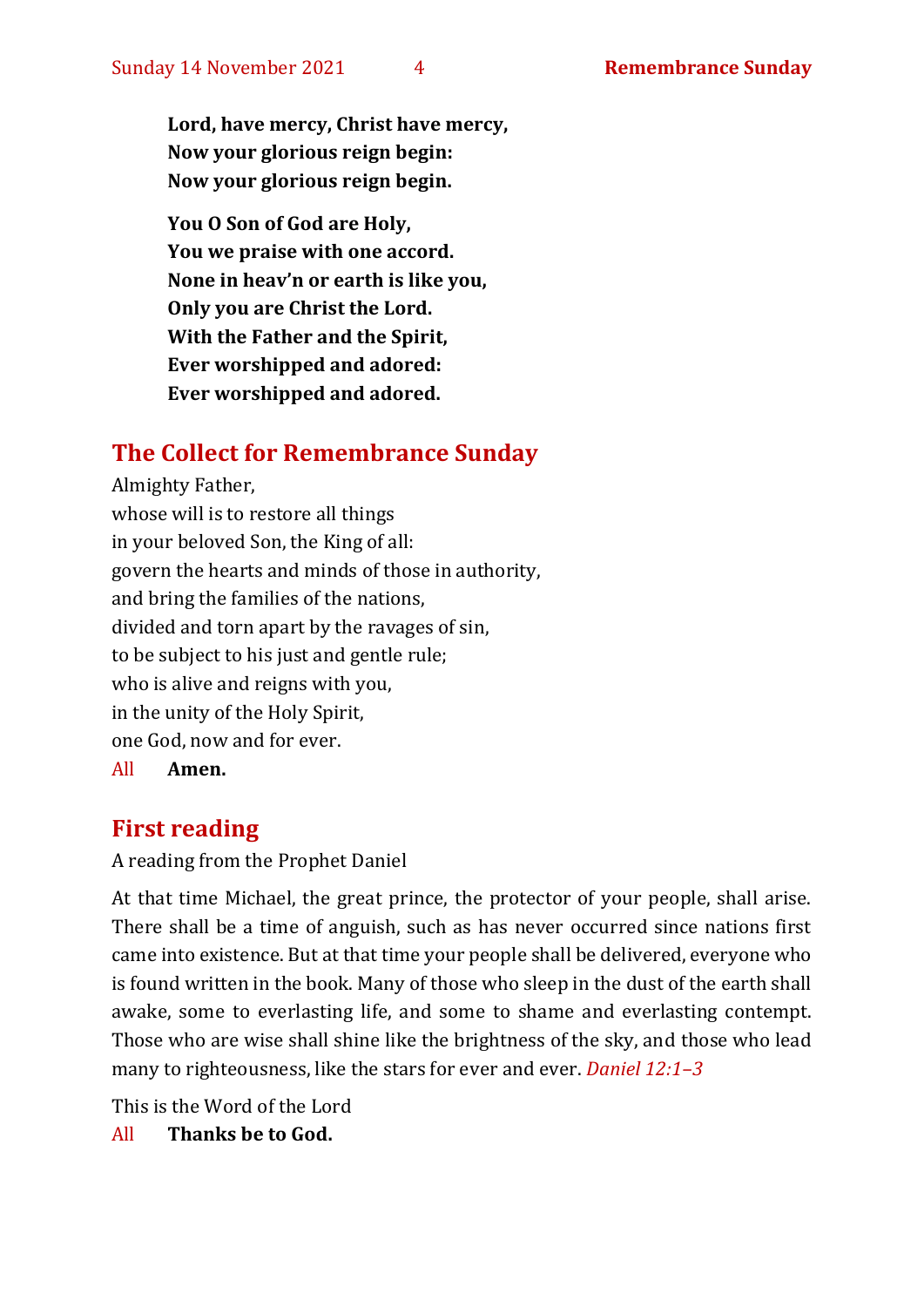**Lord, have mercy, Christ have mercy, Now your glorious reign begin: Now your glorious reign begin.**

**You O Son of God are Holy, You we praise with one accord. None in heav'n or earth is like you, Only you are Christ the Lord. With the Father and the Spirit, Ever worshipped and adored: Ever worshipped and adored.**

# **The Collect for Remembrance Sunday**

Almighty Father, whose will is to restore all things in your beloved Son, the King of all: govern the hearts and minds of those in authority, and bring the families of the nations, divided and torn apart by the ravages of sin, to be subject to his just and gentle rule; who is alive and reigns with you, in the unity of the Holy Spirit, one God, now and for ever.

All **Amen.**

# **First reading**

#### A reading from the Prophet Daniel

At that time Michael, the great prince, the protector of your people, shall arise. There shall be a time of anguish, such as has never occurred since nations first came into existence. But at that time your people shall be delivered, everyone who is found written in the book. Many of those who sleep in the dust of the earth shall awake, some to everlasting life, and some to shame and everlasting contempt. Those who are wise shall shine like the brightness of the sky, and those who lead many to righteousness, like the stars for ever and ever. *Daniel 12:1–3*

This is the Word of the Lord

All **Thanks be to God.**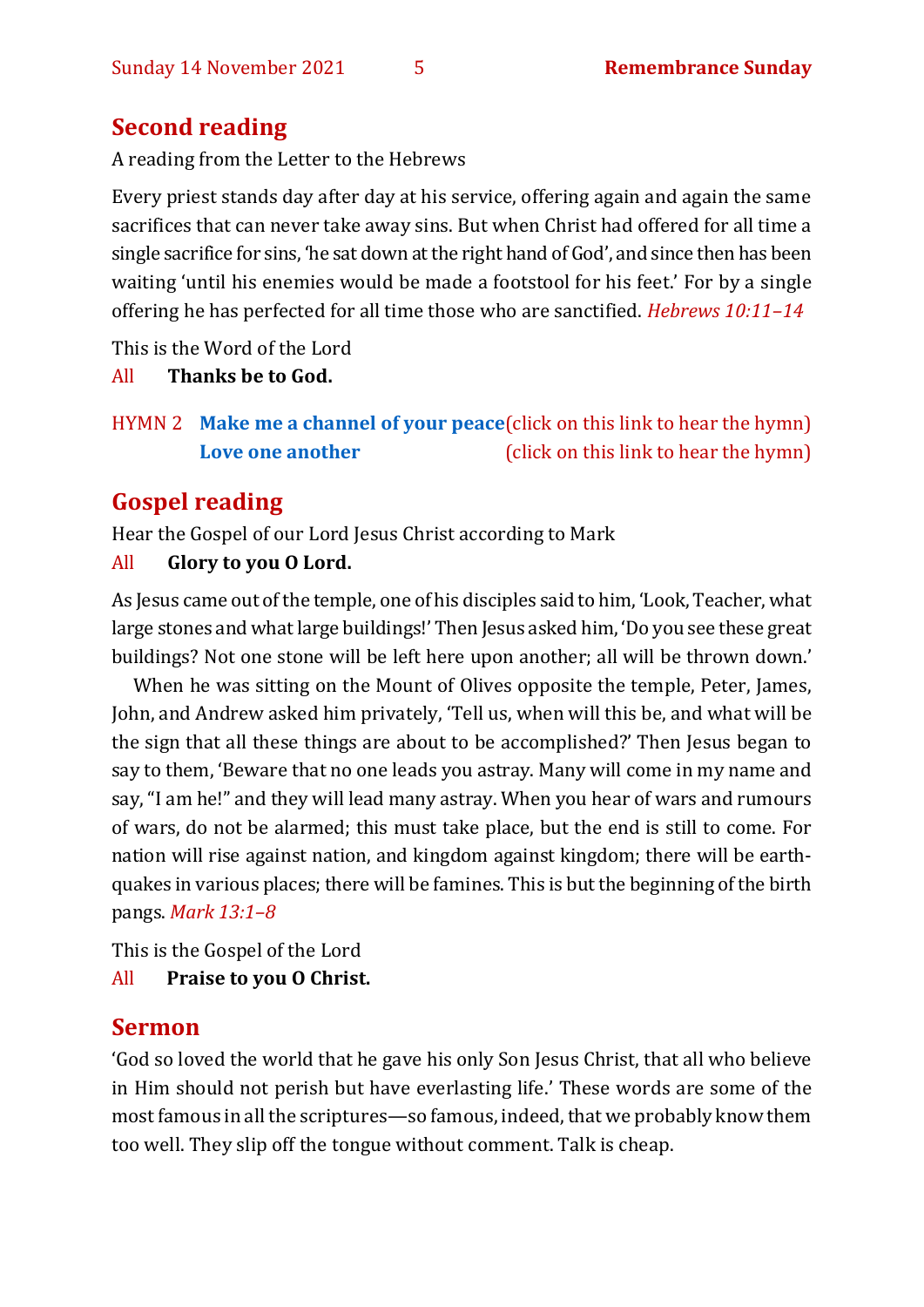# **Second reading**

A reading from the Letter to the Hebrews

Every priest stands day after day at his service, offering again and again the same sacrifices that can never take away sins. But when Christ had offered for all time a single sacrifice for sins, 'he sat down at the right hand of God', and since then has been waiting 'until his enemies would be made a footstool for his feet.' For by a single offering he has perfected for all time those who are sanctified. *Hebrews 10:11–14*

This is the Word of the Lord

#### All **Thanks be to God.**

HYMN 2 **[Make me a channel of your peace](https://www.youtube.com/watch?v=JYV5Q0E2caE)**(click on this link to hear the hymn) **[Love one another](https://youtu.be/hQQQWGXqy6U)** (click on this link to hear the hymn)

# **Gospel reading**

Hear the Gospel of our Lord Jesus Christ according to Mark

#### All **Glory to you O Lord.**

As Jesus came out of the temple, one of his disciples said to him, 'Look, Teacher, what large stones and what large buildings!' Then Jesus asked him, 'Do you see these great buildings? Not one stone will be left here upon another; all will be thrown down.'

When he was sitting on the Mount of Olives opposite the temple, Peter, James, John, and Andrew asked him privately, 'Tell us, when will this be, and what will be the sign that all these things are about to be accomplished?' Then Jesus began to say to them, 'Beware that no one leads you astray. Many will come in my name and say, "I am he!" and they will lead many astray. When you hear of wars and rumours of wars, do not be alarmed; this must take place, but the end is still to come. For nation will rise against nation, and kingdom against kingdom; there will be earthquakes in various places; there will be famines. This is but the beginning of the birth pangs. *Mark 13:1–8*

This is the Gospel of the Lord All **Praise to you O Christ.** 

# **Sermon**

'God so loved the world that he gave his only Son Jesus Christ, that all who believe in Him should not perish but have everlasting life.' These words are some of the most famous in all the scriptures—so famous, indeed, that we probably know them too well. They slip off the tongue without comment. Talk is cheap.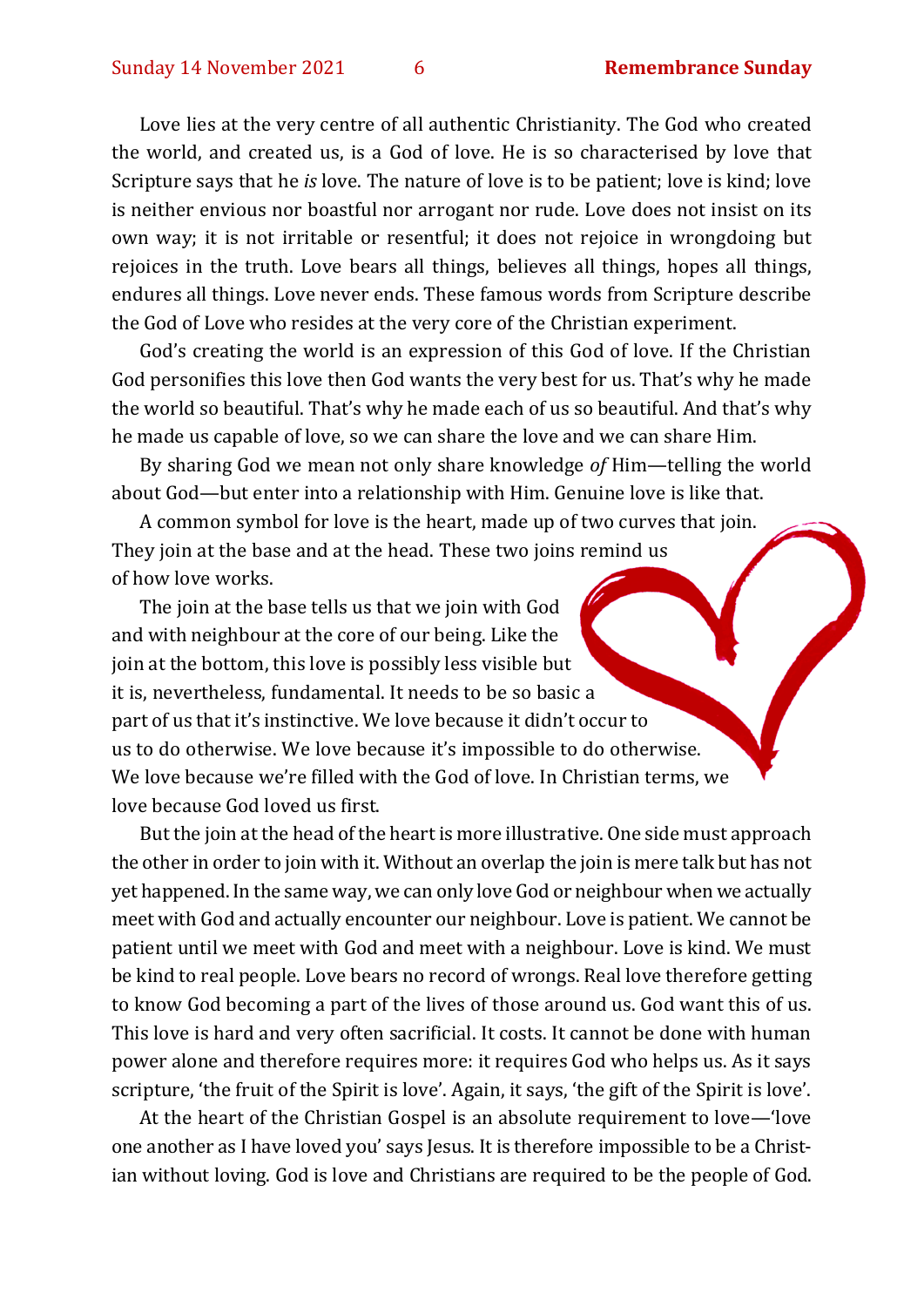Love lies at the very centre of all authentic Christianity. The God who created the world, and created us, is a God of love. He is so characterised by love that Scripture says that he *is* love. The nature of love is to be patient; love is kind; love is neither envious nor boastful nor arrogant nor rude. Love does not insist on its own way; it is not irritable or resentful; it does not rejoice in wrongdoing but rejoices in the truth. Love bears all things, believes all things, hopes all things, endures all things. Love never ends. These famous words from Scripture describe the God of Love who resides at the very core of the Christian experiment.

God's creating the world is an expression of this God of love. If the Christian God personifies this love then God wants the very best for us. That's why he made the world so beautiful. That's why he made each of us so beautiful. And that's why he made us capable of love, so we can share the love and we can share Him.

By sharing God we mean not only share knowledge *of* Him—telling the world about God—but enter into a relationship with Him. Genuine love is like that.

A common symbol for love is the heart, made up of two curves that join. They join at the base and at the head. These two joins remind us of how love works.

The join at the base tells us that we join with God and with neighbour at the core of our being. Like the join at the bottom, this love is possibly less visible but it is, nevertheless, fundamental. It needs to be so basic a part of us that it's instinctive. We love because it didn't occur to us to do otherwise. We love because it's impossible to do otherwise. We love because we're filled with the God of love. In Christian terms, we love because God loved us first.

But the join at the head of the heart is more illustrative. One side must approach the other in order to join with it. Without an overlap the join is mere talk but has not yet happened. In the same way, we can only love God or neighbour when we actually meet with God and actually encounter our neighbour. Love is patient. We cannot be patient until we meet with God and meet with a neighbour. Love is kind. We must be kind to real people. Love bears no record of wrongs. Real love therefore getting to know God becoming a part of the lives of those around us. God want this of us. This love is hard and very often sacrificial. It costs. It cannot be done with human power alone and therefore requires more: it requires God who helps us. As it says scripture, 'the fruit of the Spirit is love'. Again, it says, 'the gift of the Spirit is love'.

At the heart of the Christian Gospel is an absolute requirement to love—'love one another as I have loved you' says Jesus. It is therefore impossible to be a Christian without loving. God is love and Christians are required to be the people of God.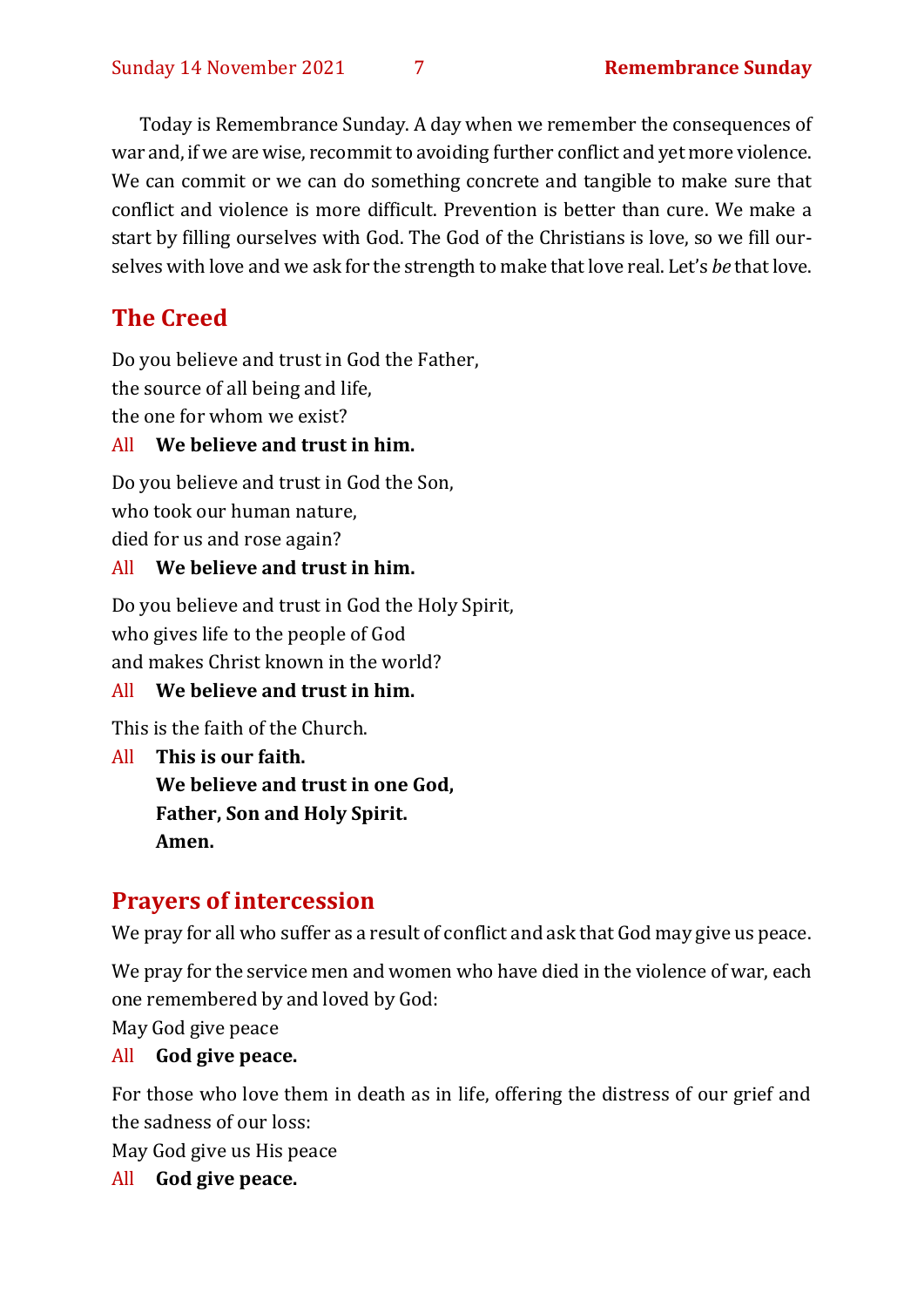Today is Remembrance Sunday. A day when we remember the consequences of war and, if we are wise, recommit to avoiding further conflict and yet more violence. We can commit or we can do something concrete and tangible to make sure that conflict and violence is more difficult. Prevention is better than cure. We make a start by filling ourselves with God. The God of the Christians is love, so we fill ourselves with love and we ask for the strength to make that love real. Let's *be* that love.

# **The Creed**

Do you believe and trust in God the Father,

the source of all being and life,

the one for whom we exist?

#### All **We believe and trust in him.**

Do you believe and trust in God the Son, who took our human nature, died for us and rose again?

#### All **We believe and trust in him.**

Do you believe and trust in God the Holy Spirit, who gives life to the people of God and makes Christ known in the world?

# All **We believe and trust in him.**

This is the faith of the Church.

All **This is our faith. We believe and trust in one God, Father, Son and Holy Spirit. Amen.**

# **Prayers of intercession**

We pray for all who suffer as a result of conflict and ask that God may give us peace.

We pray for the service men and women who have died in the violence of war, each one remembered by and loved by God:

May God give peace

# All **God give peace.**

For those who love them in death as in life, offering the distress of our grief and the sadness of our loss:

May God give us His peace

All **God give peace.**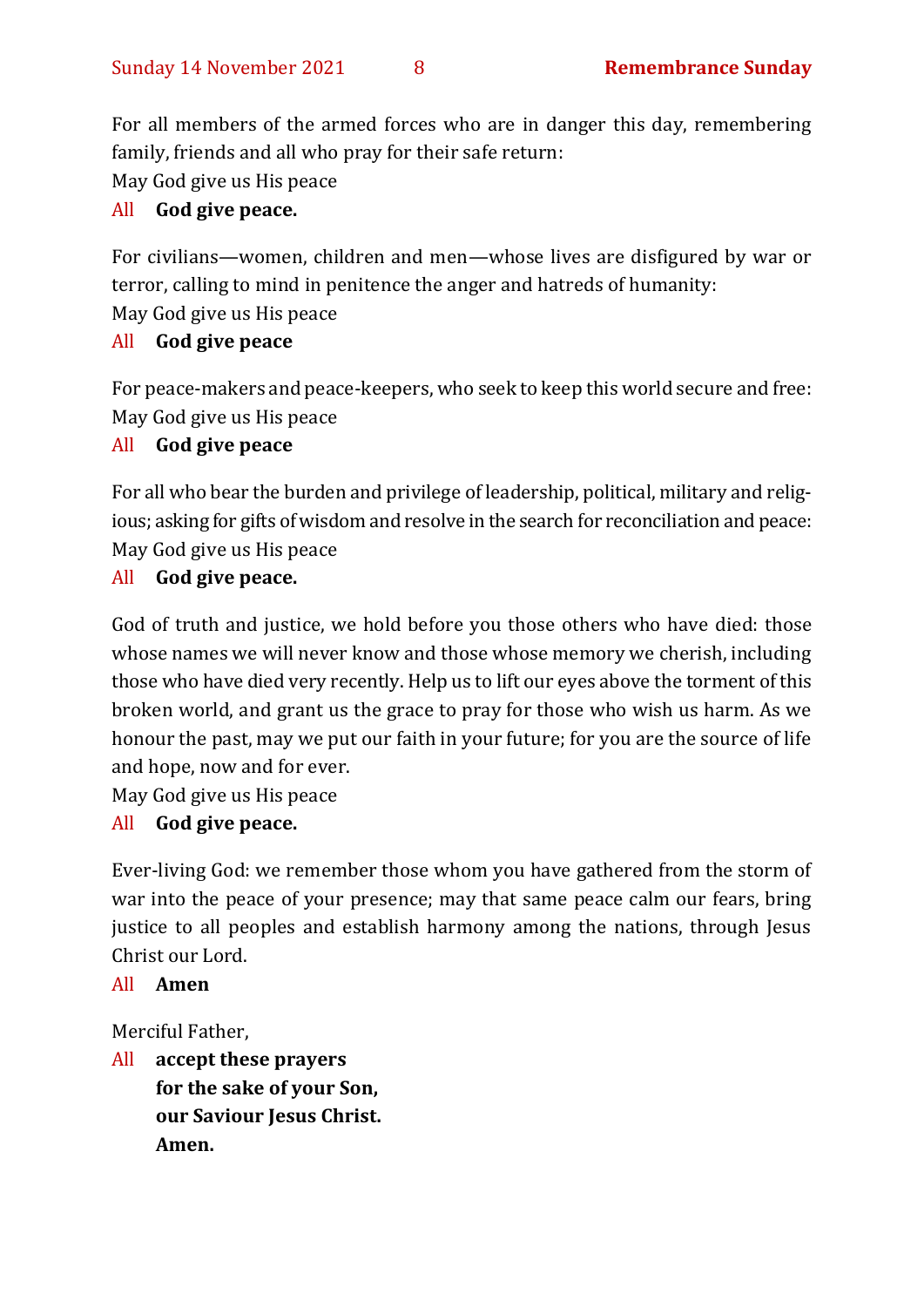For all members of the armed forces who are in danger this day, remembering family, friends and all who pray for their safe return:

May God give us His peace

# All **God give peace.**

For civilians—women, children and men—whose lives are disfigured by war or terror, calling to mind in penitence the anger and hatreds of humanity: May God give us His peace

# All **God give peace**

For peace-makers and peace-keepers, who seek to keep this world secure and free: May God give us His peace

# All **God give peace**

For all who bear the burden and privilege of leadership, political, military and religious; asking for gifts of wisdom and resolve in the search for reconciliation and peace: May God give us His peace

# All **God give peace.**

God of truth and justice, we hold before you those others who have died: those whose names we will never know and those whose memory we cherish, including those who have died very recently. Help us to lift our eyes above the torment of this broken world, and grant us the grace to pray for those who wish us harm. As we honour the past, may we put our faith in your future; for you are the source of life and hope, now and for ever.

May God give us His peace

# All **God give peace.**

Ever-living God: we remember those whom you have gathered from the storm of war into the peace of your presence; may that same peace calm our fears, bring justice to all peoples and establish harmony among the nations, through Jesus Christ our Lord.

#### All **Amen**

Merciful Father,

All **accept these prayers for the sake of your Son, our Saviour Jesus Christ. Amen.**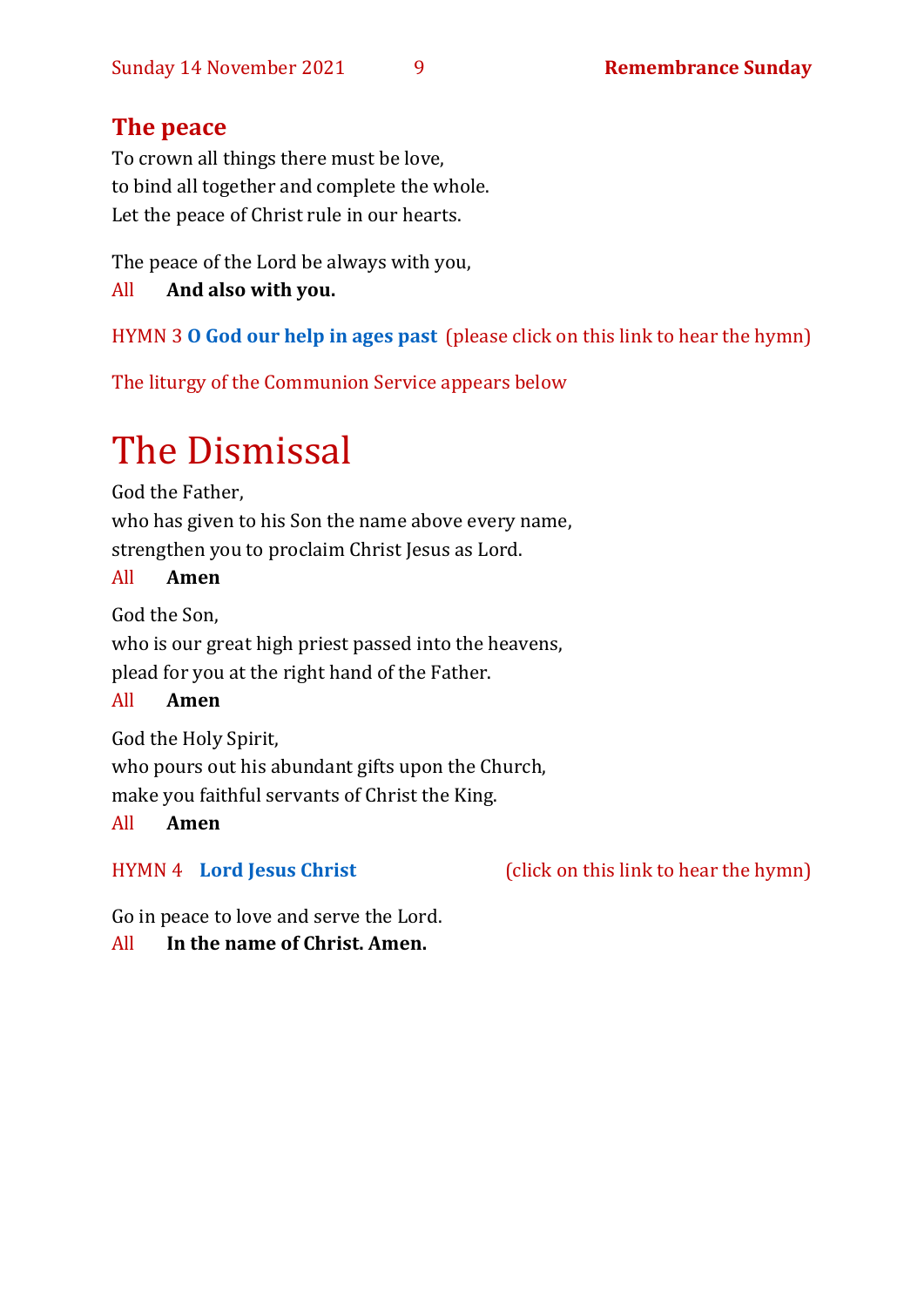# **The peace**

To crown all things there must be love, to bind all together and complete the whole. Let the peace of Christ rule in our hearts.

The peace of the Lord be always with you,

All **And also with you.**

# HYMN 3 **[O God our help in ages past](https://www.youtube.com/watch?v=ZjdmLstpNGE)** (please click on this link to hear the hymn)

The liturgy of the Communion Service appears below

# The Dismissal

God the Father,

who has given to his Son the name above every name, strengthen you to proclaim Christ Jesus as Lord.

#### All **Amen**

God the Son,

who is our great high priest passed into the heavens, plead for you at the right hand of the Father.

# All **Amen**

God the Holy Spirit, who pours out his abundant gifts upon the Church, make you faithful servants of Christ the King.

# All **Amen**

HYMN 4 **[Lord Jesus Christ](https://youtu.be/ubl8VsTNVv8)** (click on this link to hear the hymn)

Go in peace to love and serve the Lord.

# All **In the name of Christ. Amen.**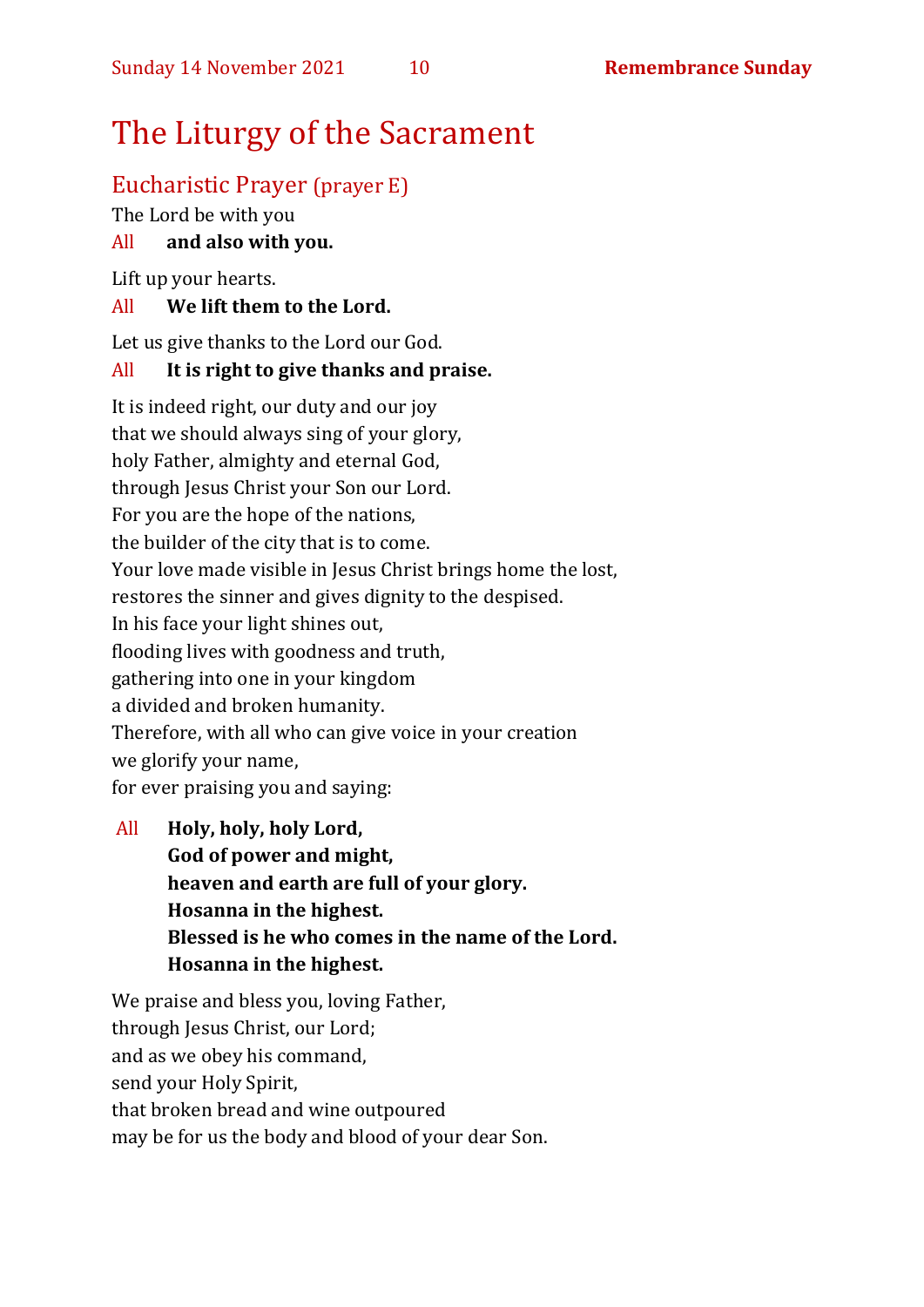# The Liturgy of the Sacrament

# Eucharistic Prayer (prayer E)

The Lord be with you

# All **and also with you.**

Lift up your hearts.

#### All **We lift them to the Lord.**

Let us give thanks to the Lord our God.

#### All **It is right to give thanks and praise.**

It is indeed right, our duty and our joy that we should always sing of your glory, holy Father, almighty and eternal God, through Jesus Christ your Son our Lord. For you are the hope of the nations, the builder of the city that is to come. Your love made visible in Jesus Christ brings home the lost, restores the sinner and gives dignity to the despised. In his face your light shines out, flooding lives with goodness and truth, gathering into one in your kingdom a divided and broken humanity. Therefore, with all who can give voice in your creation we glorify your name, for ever praising you and saying:

All **Holy, holy, holy Lord, God of power and might, heaven and earth are full of your glory. Hosanna in the highest. Blessed is he who comes in the name of the Lord. Hosanna in the highest.**

We praise and bless you, loving Father, through Jesus Christ, our Lord: and as we obey his command, send your Holy Spirit, that broken bread and wine outpoured may be for us the body and blood of your dear Son.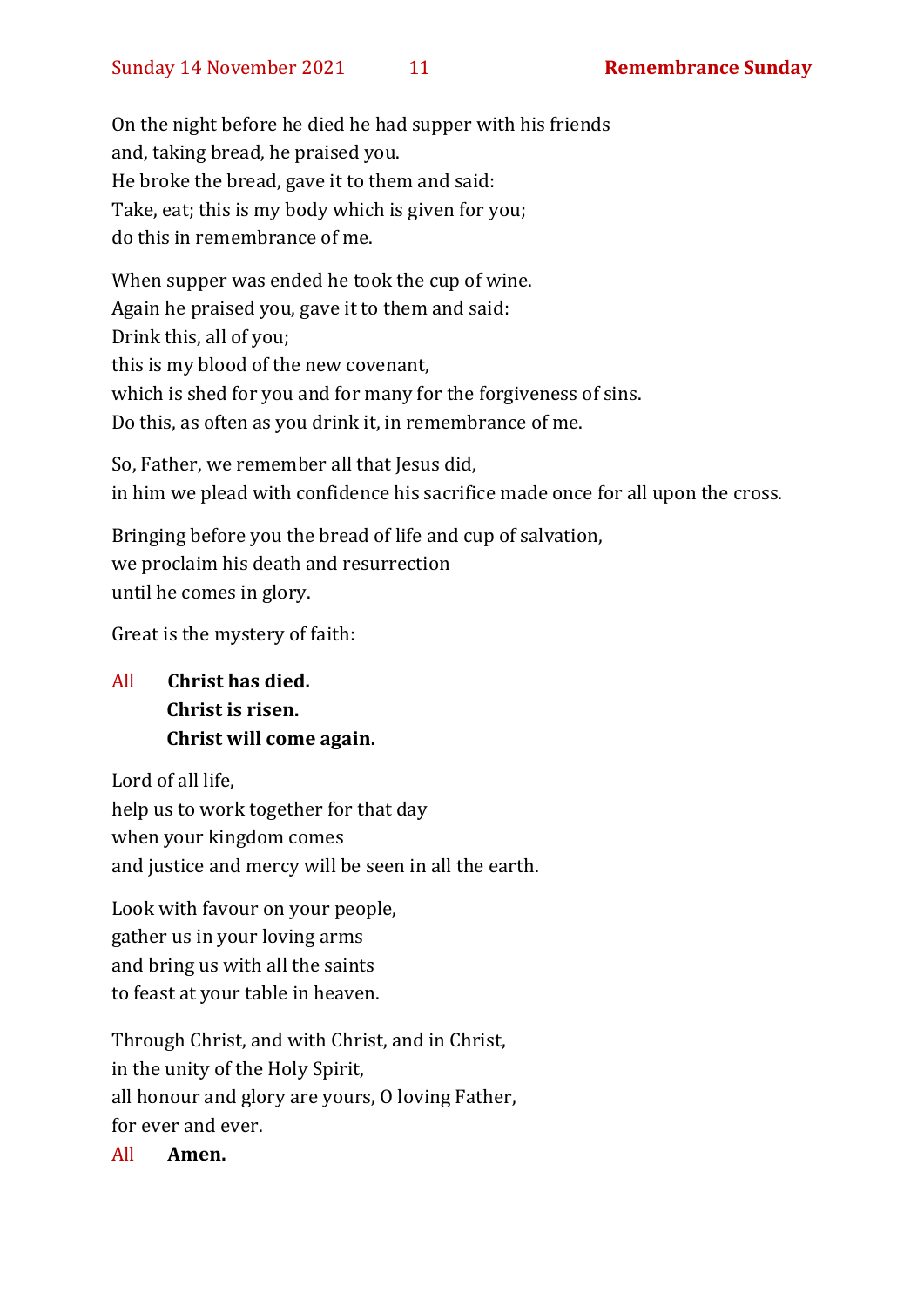On the night before he died he had supper with his friends and, taking bread, he praised you. He broke the bread, gave it to them and said: Take, eat; this is my body which is given for you; do this in remembrance of me.

When supper was ended he took the cup of wine. Again he praised you, gave it to them and said: Drink this, all of you; this is my blood of the new covenant, which is shed for you and for many for the forgiveness of sins. Do this, as often as you drink it, in remembrance of me.

So, Father, we remember all that Jesus did, in him we plead with confidence his sacrifice made once for all upon the cross.

Bringing before you the bread of life and cup of salvation, we proclaim his death and resurrection until he comes in glory.

Great is the mystery of faith:

# All **Christ has died. Christ is risen. Christ will come again.**

Lord of all life, help us to work together for that day when your kingdom comes and justice and mercy will be seen in all the earth.

Look with favour on your people, gather us in your loving arms and bring us with all the saints to feast at your table in heaven.

Through Christ, and with Christ, and in Christ, in the unity of the Holy Spirit, all honour and glory are yours, O loving Father, for ever and ever.

All **Amen.**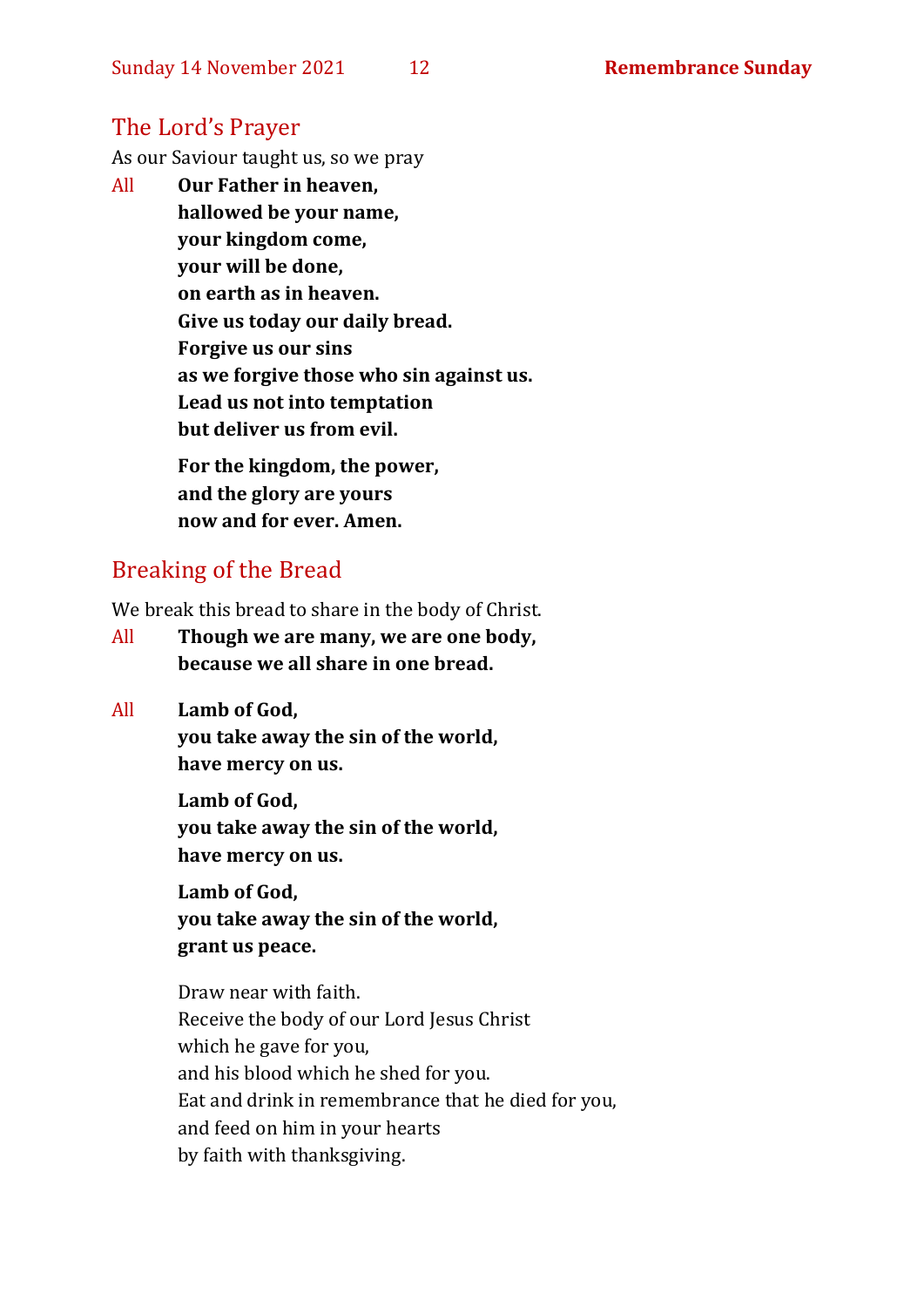# The Lord's Prayer

As our Saviour taught us, so we pray

All **Our Father in heaven, hallowed be your name, your kingdom come, your will be done, on earth as in heaven. Give us today our daily bread. Forgive us our sins as we forgive those who sin against us. Lead us not into temptation but deliver us from evil. For the kingdom, the power,** 

**and the glory are yours now and for ever. Amen.**

# Breaking of the Bread

We break this bread to share in the body of Christ.

- All **Though we are many, we are one body, because we all share in one bread.**
- All **Lamb of God,**

**you take away the sin of the world, have mercy on us.**

**Lamb of God, you take away the sin of the world, have mercy on us.**

**Lamb of God, you take away the sin of the world, grant us peace.**

Draw near with faith. Receive the body of our Lord Jesus Christ which he gave for you, and his blood which he shed for you. Eat and drink in remembrance that he died for you, and feed on him in your hearts by faith with thanksgiving.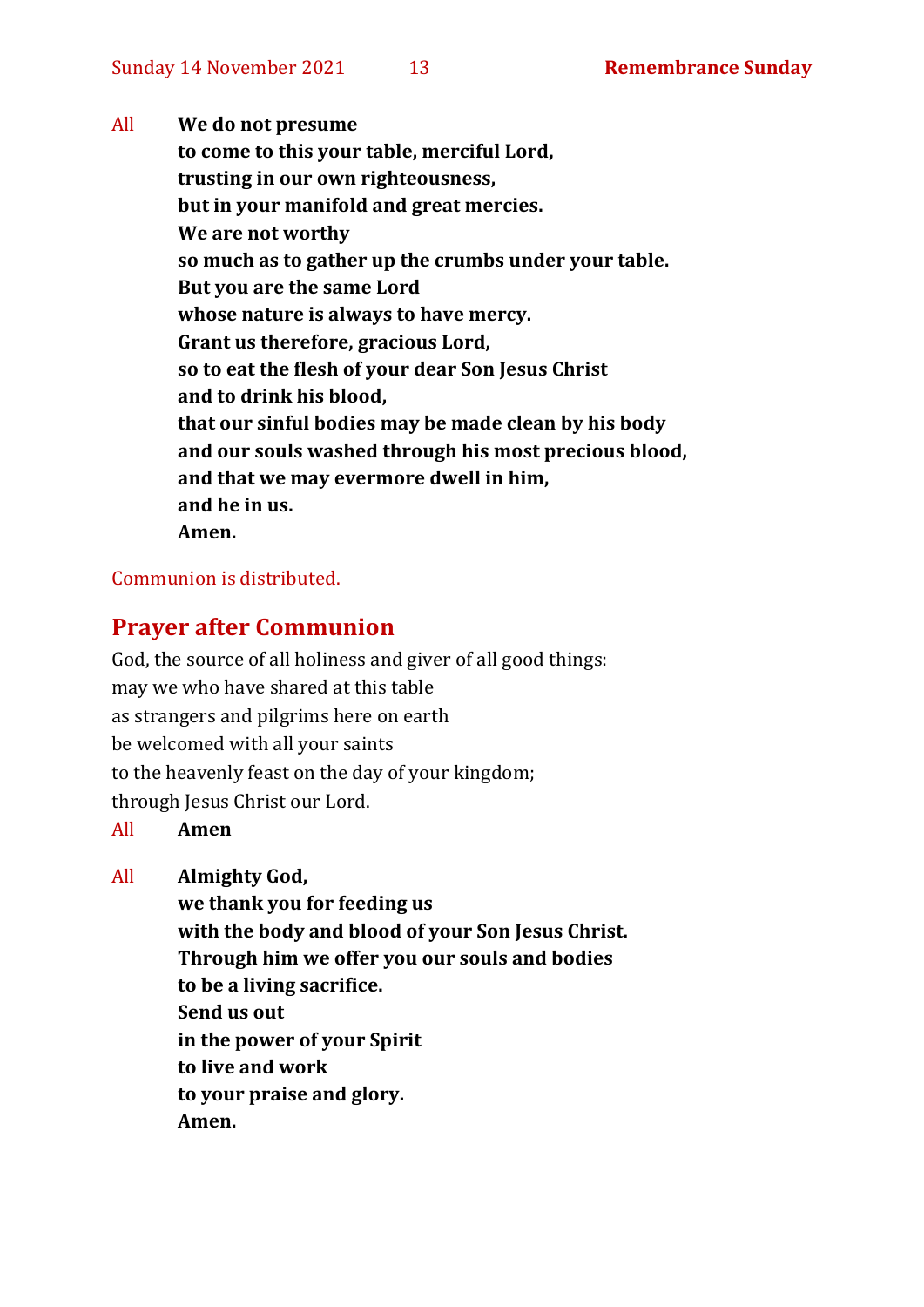All **We do not presume to come to this your table, merciful Lord, trusting in our own righteousness, but in your manifold and great mercies. We are not worthy so much as to gather up the crumbs under your table. But you are the same Lord whose nature is always to have mercy. Grant us therefore, gracious Lord, so to eat the flesh of your dear Son Jesus Christ and to drink his blood, that our sinful bodies may be made clean by his body and our souls washed through his most precious blood, and that we may evermore dwell in him, and he in us. Amen.**

#### Communion is distributed.

# **Prayer after Communion**

God, the source of all holiness and giver of all good things: may we who have shared at this table as strangers and pilgrims here on earth be welcomed with all your saints to the heavenly feast on the day of your kingdom; through Jesus Christ our Lord.

#### All **Amen**

All **Almighty God,**

**we thank you for feeding us with the body and blood of your Son Jesus Christ. Through him we offer you our souls and bodies to be a living sacrifice. Send us out in the power of your Spirit to live and work to your praise and glory. Amen.**